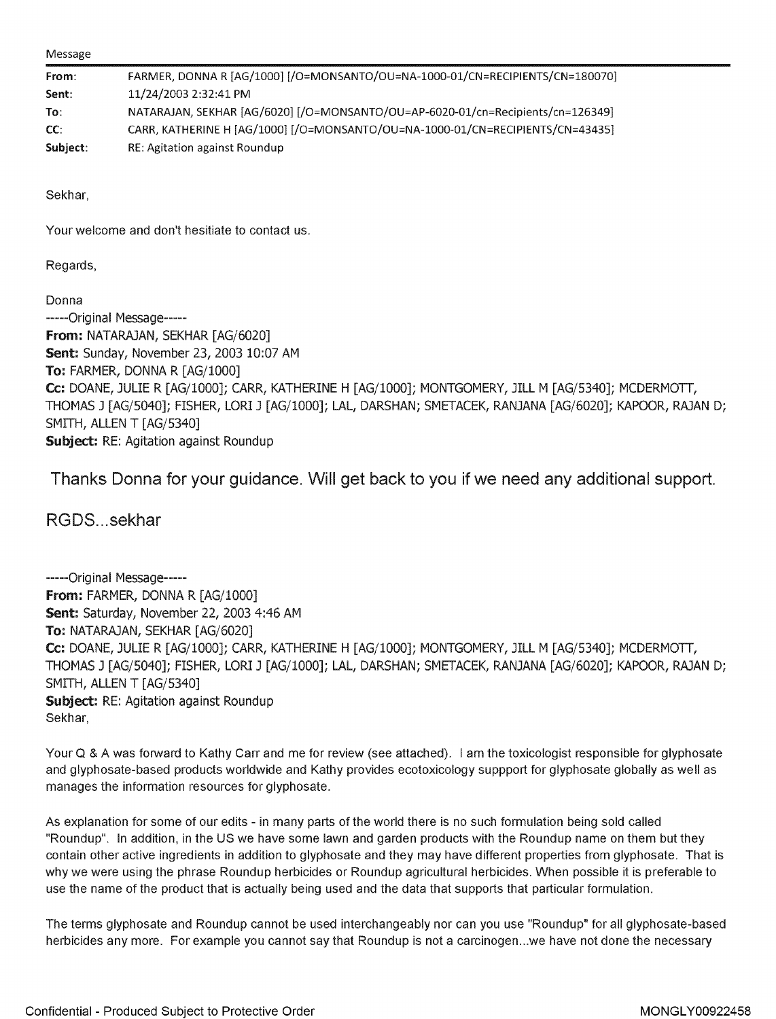Message

| From:    | FARMER, DONNA R [AG/1000] [/O=MONSANTO/OU=NA-1000-01/CN=RECIPIENTS/CN=180070]   |
|----------|---------------------------------------------------------------------------------|
| Sent:    | 11/24/2003 2:32:41 PM                                                           |
| To:      | NATARAJAN, SEKHAR [AG/6020] [/O=MONSANTO/OU=AP-6020-01/cn=Recipients/cn=126349] |
| CC:      | CARR, KATHERINE H [AG/1000] [/O=MONSANTO/OU=NA-1000-01/CN=RECIPIENTS/CN=43435]  |
| Subject: | RE: Agitation against Roundup                                                   |

Sekhar,

Your welcome and don't hesitiate to contact us.

Regards,

Donna -----Original Message----- **From:** NATARAJAN, SEKHAR [AG/6020] Sent: Sunday, November 23, 2003 10:07 AM **To:** FARMER, DONNA R [AG/1000] **Cc:** DOANE, JULIE R [AG/1000]; CARR, KATHERINE H [AG/1000]; MONTGOMERY, JILL M [AG/5340]; MCDERMOTT, THOMAS J [AG/5040]; FISHER, LORI J [AG/1000]; LAL, DARSHAN; SMETACEK, RANJANA [AG/6020]; KAPOOR, RAJAN D; SMITH, ALLEN T [AG/5340] **Subject: RE: Agitation against Roundup** 

Thanks Donna for your guidance. Will get back to you if we need any additional support.

RGDS ... sekhar

-----Original Message----- **From:** FARMER, DONNA R [AG/1000] Sent: Saturday, November 22, 2003 4:46 AM **To:** NATARAJAN, SEKHAR [AG/6020] **Cc:** DOANE, JULIE R [AG/1000]; CARR, KATHERINE H [AG/1000]; MONTGOMERY, JILL M [AG/5340]; MCDERMOTT, THOMAS J [AG/5040]; FISHER, LORI J [AG/1000]; LAL, DARSHAN; SMETACEK, RANJANA [AG/6020]; KAPOOR, RAJAN D; SMITH, ALLEN T [AG/5340] **Subject:** RE: Agitation against Roundup Sekhar,

Your Q & A was forward to Kathy Carr and me for review (see attached). I am the toxicologist responsible for glyphosate and glyphosate-based products worldwide and Kathy provides ecotoxicology suppport for glyphosate globally as well as manages the information resources for glyphosate.

As explanation for some of our edits - in many parts of the world there is no such formulation being sold called "Roundup". In addition, in the US we have some lawn and garden products with the Roundup name on them but they contain other active ingredients in addition to glyphosate and they may have different properties from glyphosate. That is why we were using the phrase Roundup herbicides or Roundup agricultural herbicides. When possible it is preferable to use the name of the product that is actually being used and the data that supports that particular formulation.

The terms [glyphosate and Roundup](https://www.baumhedlundlaw.com/toxic-tort-law/monsanto-roundup-lawsuit/) cannot be used interchangeably nor can you use "Roundup" for all glyphosate-based herbicides any more. For example you cannot say that Roundup is not a carcinogen...we have not done the necessary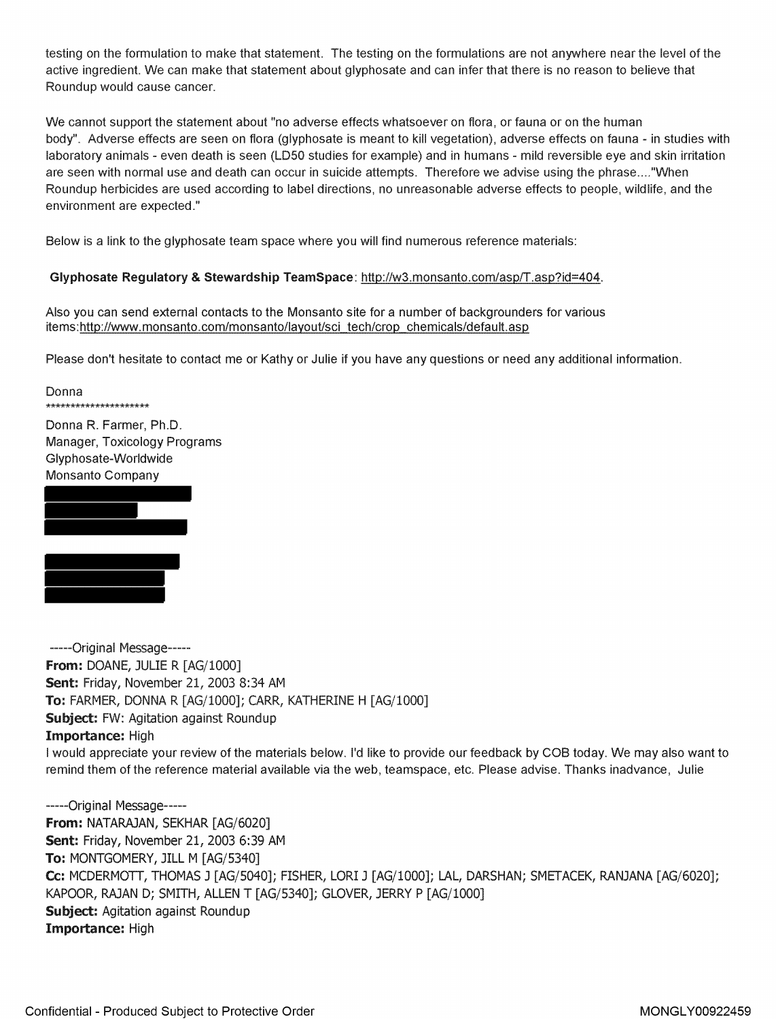testing on the formulation to make that statement. The testing on the formulations are not anywhere near the level of the active ingredient. We can make that statement about glyphosate and can infer that there is no reason to believe that Roundup would cause cancer.

We cannot support the statement about "no adverse effects whatsoever on flora, or fauna or on the human body". Adverse effects are seen on flora (glyphosate is meant to kill vegetation), adverse effects on fauna - in studies with laboratory animals - even death is seen (LDS0 studies for example) and in humans - mild reversible eye and skin irritation are seen with normal use and death can occur in suicide attempts. Therefore we advise using the phrase .... "When Roundup herbicides are used according to label directions, no unreasonable adverse effects to people, wildlife, and the environment are expected."

Below is a link to the glyphosate team space where you will find numerous reference materials:

## **Glyphosate Regulatory & Stewardship TeamSpace: http://w3.monsanto.com/asp/T.asp?id=404.**

Also you can send external contacts to the Monsanto site for a number of backgrounders for various items:http://www.monsanto.com/monsanto/layout/sci\_tech/crop\_chemicals/default.asp

Please don't hesitate to contact me or Kathy or Julie if you have any questions or need any additional information.

Donna \*\*\*\*\*\*\*\*\*\*\*\*\*\*\*\*\*\* Donna R. Farmer, Ph.D.

Manager, Toxicology Programs Glyphosate-Worldwide Monsanto Company





-----Original Message----- **From:** DOANE, JULIE R [AG/1000] **Sent:** Friday, November 21, 2003 8:34 AM **To:** FARMER, DONNA R [AG/1000]; CARR, KATHERINE H [AG/1000] **Subject:** FW: Agitation against Roundup **Importance:** High

I would appreciate your review of the materials below. I'd like to provide our feedback by COB today. We may also want to remind them of the reference material available via the web, teamspace, etc. Please advise. Thanks inadvance, Julie

-----Original Message----- **From:** NATARAJAN, SEKHAR [AG/6020] **Sent:** Friday, November 21, 2003 6:39 AM **To:** MONTGOMERY, JILL M [AG/5340] **Cc:** MCDERMOTT, THOMAS J [AG/5040]; FISHER, LORI J [AG/1000]; LAL, DARSHAN; SMETACEK, RANJANA [AG/6020]; KAPOOR, RAJAN D; SMITH, ALLEN T [AG/5340]; GLOVER, JERRY P [AG/1000] **Subject:** Agitation against Roundup Importance: High